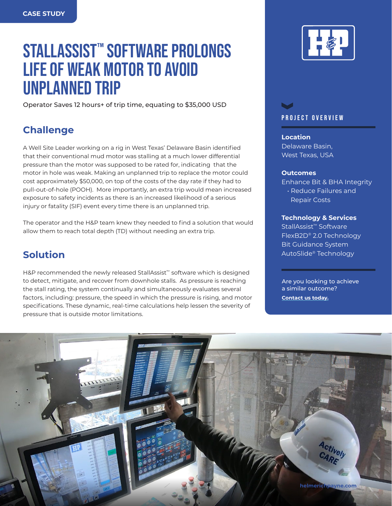# STALLASSIST™ SOFTWARE PROLONGS LIFE OF WEAK MOTOR TO AVOID UNPLANNED TRIP

Operator Saves 12 hours+ of trip time, equating to \$35,000 USD

# **Challenge**

A Well Site Leader working on a rig in West Texas' Delaware Basin identified that their conventional mud motor was stalling at a much lower differential pressure than the motor was supposed to be rated for, indicating that the motor in hole was weak. Making an unplanned trip to replace the motor could cost approximately \$50,000, on top of the costs of the day rate if they had to pull-out-of-hole (POOH). More importantly, an extra trip would mean increased exposure to safety incidents as there is an increased likelihood of a serious injury or fatality (SIF) event every time there is an unplanned trip.

The operator and the H&P team knew they needed to find a solution that would allow them to reach total depth (TD) without needing an extra trip.

# **Solution**

H&P recommended the newly released StallAssist<sup>™</sup> software which is designed to detect, mitigate, and recover from downhole stalls. As pressure is reaching the stall rating, the system continually and simultaneously evaluates several factors, including: pressure, the speed in which the pressure is rising, and motor specifications. These dynamic, real-time calculations help lessen the severity of pressure that is outside motor limitations.



### PROJECT OVERVIEW

**Location** Delaware Basin, West Texas, USA

#### **Outcomes**

Enhance Bit & BHA Integrity

• Reduce Failures and Repair Costs

#### **Technology & Services**

StallAssist™ Software FlexB2D® 2.0 Technology Bit Guidance System AutoSlide® Technology

Are you looking to achieve a similar outcome? **[Contact us today.](https://www.helmerichpayne.com/contact)**